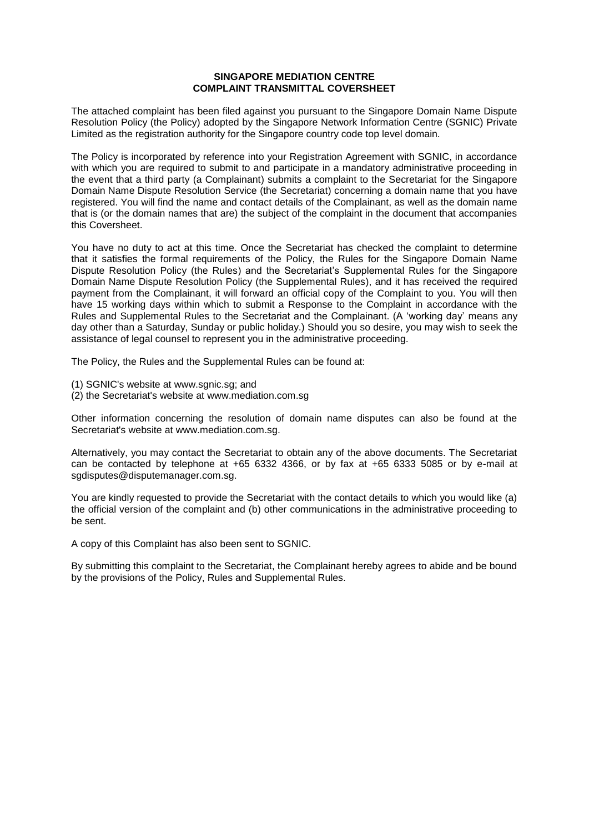#### **SINGAPORE MEDIATION CENTRE COMPLAINT TRANSMITTAL COVERSHEET**

The attached complaint has been filed against you pursuant to the Singapore Domain Name Dispute Resolution Policy (the Policy) adopted by the Singapore Network Information Centre (SGNIC) Private Limited as the registration authority for the Singapore country code top level domain.

The Policy is incorporated by reference into your Registration Agreement with SGNIC, in accordance with which you are required to submit to and participate in a mandatory administrative proceeding in the event that a third party (a Complainant) submits a complaint to the Secretariat for the Singapore Domain Name Dispute Resolution Service (the Secretariat) concerning a domain name that you have registered. You will find the name and contact details of the Complainant, as well as the domain name that is (or the domain names that are) the subject of the complaint in the document that accompanies this Coversheet.

You have no duty to act at this time. Once the Secretariat has checked the complaint to determine that it satisfies the formal requirements of the Policy, the Rules for the Singapore Domain Name Dispute Resolution Policy (the Rules) and the Secretariat's Supplemental Rules for the Singapore Domain Name Dispute Resolution Policy (the Supplemental Rules), and it has received the required payment from the Complainant, it will forward an official copy of the Complaint to you. You will then have 15 working days within which to submit a Response to the Complaint in accordance with the Rules and Supplemental Rules to the Secretariat and the Complainant. (A 'working day' means any day other than a Saturday, Sunday or public holiday.) Should you so desire, you may wish to seek the assistance of legal counsel to represent you in the administrative proceeding.

The Policy, the Rules and the Supplemental Rules can be found at:

- (1) SGNIC's website at www.sgnic.sg; and
- (2) the Secretariat's website at www.mediation.com.sg

Other information concerning the resolution of domain name disputes can also be found at the Secretariat's website at www.mediation.com.sg.

Alternatively, you may contact the Secretariat to obtain any of the above documents. The Secretariat can be contacted by telephone at +65 6332 4366, or by fax at +65 6333 5085 or by e-mail at sgdisputes@disputemanager.com.sg.

You are kindly requested to provide the Secretariat with the contact details to which you would like (a) the official version of the complaint and (b) other communications in the administrative proceeding to be sent.

A copy of this Complaint has also been sent to SGNIC.

By submitting this complaint to the Secretariat, the Complainant hereby agrees to abide and be bound by the provisions of the Policy, Rules and Supplemental Rules.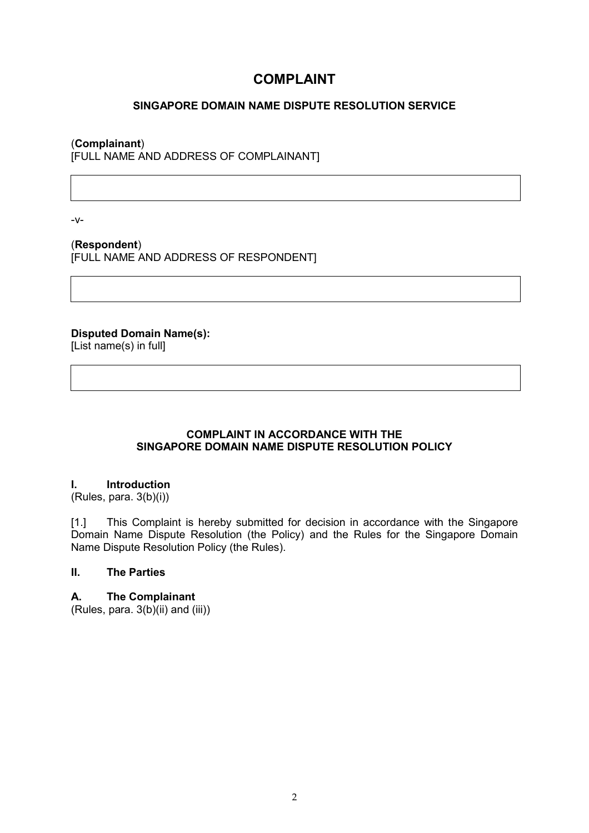# **COMPLAINT**

# **SINGAPORE DOMAIN NAME DISPUTE RESOLUTION SERVICE**

### (**Complainant**)

[FULL NAME AND ADDRESS OF COMPLAINANT]

-v-

(**Respondent**) [FULL NAME AND ADDRESS OF RESPONDENT]

**Disputed Domain Name(s):**  [List name(s) in full]

# **COMPLAINT IN ACCORDANCE WITH THE SINGAPORE DOMAIN NAME DISPUTE RESOLUTION POLICY**

#### **I. Introduction**

(Rules, para. 3(b)(i))

[1.] This Complaint is hereby submitted for decision in accordance with the Singapore Domain Name Dispute Resolution (the Policy) and the Rules for the Singapore Domain Name Dispute Resolution Policy (the Rules).

# **II. The Parties**

# **A. The Complainant**

(Rules, para. 3(b)(ii) and (iii))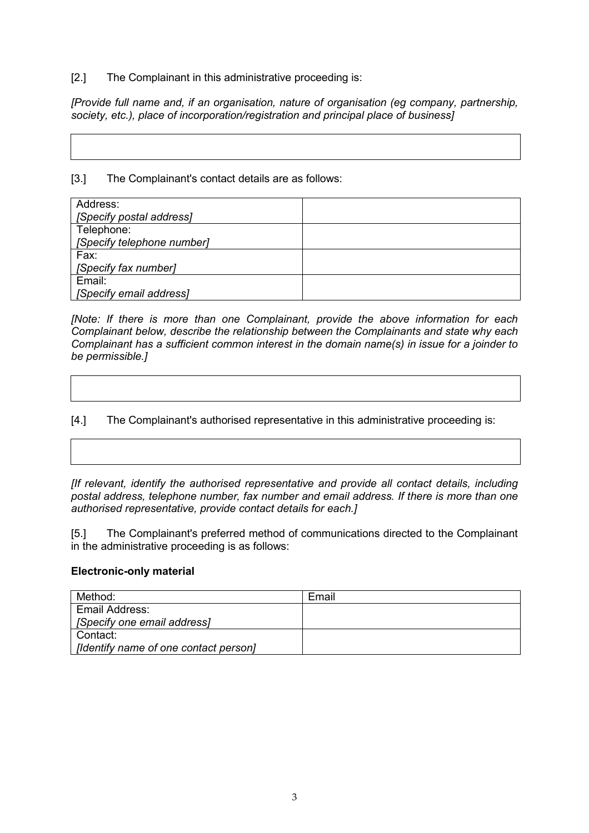#### [2.] The Complainant in this administrative proceeding is:

*[Provide full name and, if an organisation, nature of organisation (eg company, partnership, society, etc.), place of incorporation/registration and principal place of business]* 

[3.] The Complainant's contact details are as follows:

| Address:                   |  |
|----------------------------|--|
| [Specify postal address]   |  |
| Telephone:                 |  |
| [Specify telephone number] |  |
| Fax:                       |  |
| [Specify fax number]       |  |
| Email:                     |  |
| [Specify email address]    |  |

*[Note: If there is more than one Complainant, provide the above information for each Complainant below, describe the relationship between the Complainants and state why each Complainant has a sufficient common interest in the domain name(s) in issue for a joinder to be permissible.]*

[4.] The Complainant's authorised representative in this administrative proceeding is:

*[If relevant, identify the authorised representative and provide all contact details, including postal address, telephone number, fax number and email address. If there is more than one authorised representative, provide contact details for each.]* 

[5.] The Complainant's preferred method of communications directed to the Complainant in the administrative proceeding is as follows:

#### **Electronic-only material**

| Method:                               | Email |
|---------------------------------------|-------|
| Email Address:                        |       |
| [Specify one email address]           |       |
| Contact:                              |       |
| [Identify name of one contact person] |       |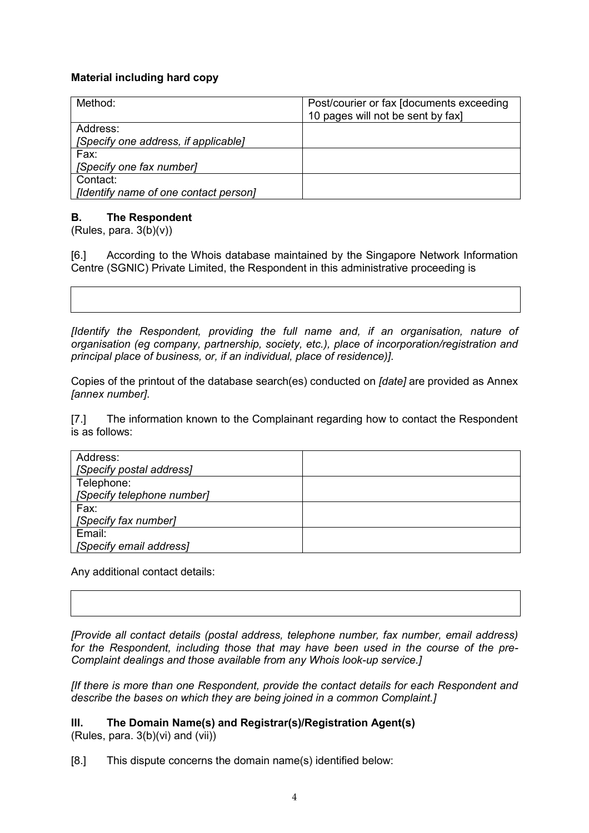# **Material including hard copy**

| Method:                               | Post/courier or fax [documents exceeding]<br>10 pages will not be sent by fax] |
|---------------------------------------|--------------------------------------------------------------------------------|
| Address:                              |                                                                                |
| [Specify one address, if applicable]  |                                                                                |
| Fax:                                  |                                                                                |
| [Specify one fax number]              |                                                                                |
| Contact:                              |                                                                                |
| [Identify name of one contact person] |                                                                                |

# **B. The Respondent**

(Rules, para.  $3(b)(v)$ )

[6.] According to the Whois database maintained by the Singapore Network Information Centre (SGNIC) Private Limited, the Respondent in this administrative proceeding is

*[Identify the Respondent, providing the full name and, if an organisation, nature of organisation (eg company, partnership, society, etc.), place of incorporation/registration and principal place of business, or, if an individual, place of residence)]*.

Copies of the printout of the database search(es) conducted on *[date]* are provided as Annex *[annex number]*.

[7.] The information known to the Complainant regarding how to contact the Respondent is as follows:

| Address:                   |  |
|----------------------------|--|
| [Specify postal address]   |  |
| Telephone:                 |  |
| [Specify telephone number] |  |
| Fax:                       |  |
| [Specify fax number]       |  |
| Email:                     |  |
| [Specify email address]    |  |

Any additional contact details:

*[Provide all contact details (postal address, telephone number, fax number, email address) for the Respondent, including those that may have been used in the course of the pre-Complaint dealings and those available from any Whois look-up service.]* 

*[If there is more than one Respondent, provide the contact details for each Respondent and describe the bases on which they are being joined in a common Complaint.]*

#### **III. The Domain Name(s) and Registrar(s)/Registration Agent(s)** (Rules, para. 3(b)(vi) and (vii))

[8.] This dispute concerns the domain name(s) identified below: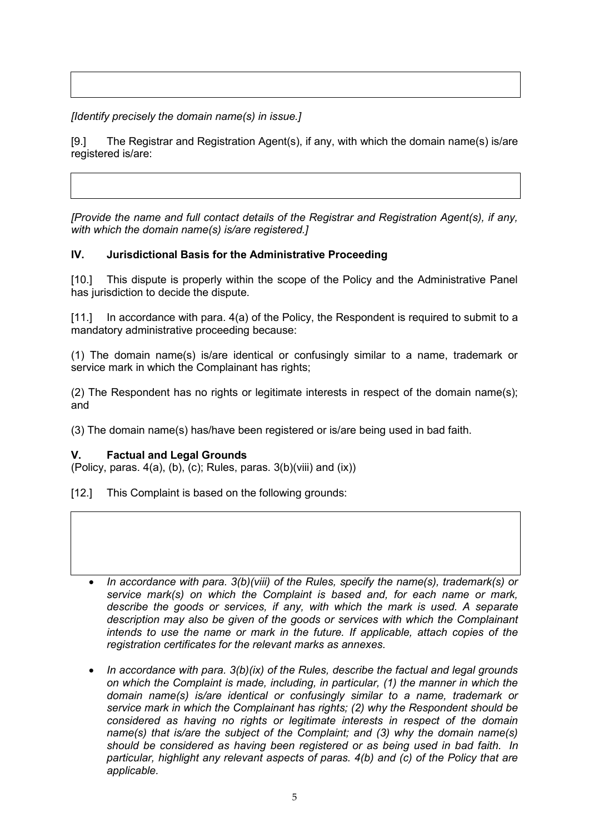*[Identify precisely the domain name(s) in issue.]* 

[9.] The Registrar and Registration Agent(s), if any, with which the domain name(s) is/are registered is/are:

*[Provide the name and full contact details of the Registrar and Registration Agent(s), if any, with which the domain name(s) is/are registered.]*

# **IV. Jurisdictional Basis for the Administrative Proceeding**

[10.] This dispute is properly within the scope of the Policy and the Administrative Panel has jurisdiction to decide the dispute.

[11.] In accordance with para. 4(a) of the Policy, the Respondent is required to submit to a mandatory administrative proceeding because:

(1) The domain name(s) is/are identical or confusingly similar to a name, trademark or service mark in which the Complainant has rights;

(2) The Respondent has no rights or legitimate interests in respect of the domain name(s); and

(3) The domain name(s) has/have been registered or is/are being used in bad faith.

#### **V. Factual and Legal Grounds**

(Policy, paras.  $4(a)$ , (b), (c); Rules, paras.  $3(b)$ (viii) and (ix))

[12.] This Complaint is based on the following grounds:

- · *In accordance with para. 3(b)(viii) of the Rules, specify the name(s), trademark(s) or service mark(s) on which the Complaint is based and, for each name or mark, describe the goods or services, if any, with which the mark is used. A separate description may also be given of the goods or services with which the Complainant intends to use the name or mark in the future. If applicable, attach copies of the registration certificates for the relevant marks as annexes.*
- · *In accordance with para. 3(b)(ix) of the Rules, describe the factual and legal grounds on which the Complaint is made, including, in particular, (1) the manner in which the domain name(s) is/are identical or confusingly similar to a name, trademark or service mark in which the Complainant has rights; (2) why the Respondent should be considered as having no rights or legitimate interests in respect of the domain name(s) that is/are the subject of the Complaint; and (3) why the domain name(s) should be considered as having been registered or as being used in bad faith. In particular, highlight any relevant aspects of paras. 4(b) and (c) of the Policy that are applicable.*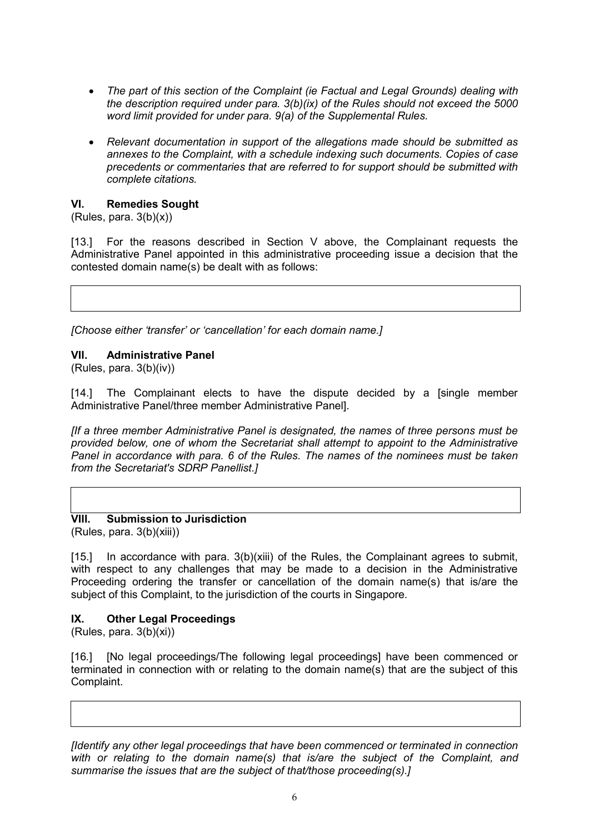- · *The part of this section of the Complaint (ie Factual and Legal Grounds) dealing with the description required under para. 3(b)(ix) of the Rules should not exceed the 5000 word limit provided for under para. 9(a) of the Supplemental Rules.*
- · *Relevant documentation in support of the allegations made should be submitted as annexes to the Complaint, with a schedule indexing such documents. Copies of case precedents or commentaries that are referred to for support should be submitted with complete citations.*

#### **VI. Remedies Sought**

 $(Rules, para. 3(b)(x))$ 

[13.] For the reasons described in Section V above, the Complainant requests the Administrative Panel appointed in this administrative proceeding issue a decision that the contested domain name(s) be dealt with as follows:

*[Choose either 'transfer' or 'cancellation' for each domain name.]* 

#### **VII. Administrative Panel**

(Rules, para. 3(b)(iv))

[14.] The Complainant elects to have the dispute decided by a [single member Administrative Panel/three member Administrative Panel].

*[If a three member Administrative Panel is designated, the names of three persons must be provided below, one of whom the Secretariat shall attempt to appoint to the Administrative Panel in accordance with para. 6 of the Rules. The names of the nominees must be taken from the Secretariat's SDRP Panellist.]* 

**VIII. Submission to Jurisdiction** (Rules, para. 3(b)(xiii))

[15.] In accordance with para. 3(b)(xiii) of the Rules, the Complainant agrees to submit, with respect to any challenges that may be made to a decision in the Administrative Proceeding ordering the transfer or cancellation of the domain name(s) that is/are the subject of this Complaint, to the jurisdiction of the courts in Singapore.

# **IX. Other Legal Proceedings**

(Rules, para. 3(b)(xi))

[16*.*] [No legal proceedings/The following legal proceedings] have been commenced or terminated in connection with or relating to the domain name(s) that are the subject of this Complaint.

*[Identify any other legal proceedings that have been commenced or terminated in connection*  with or relating to the domain name(s) that is/are the subject of the Complaint, and *summarise the issues that are the subject of that/those proceeding(s).]*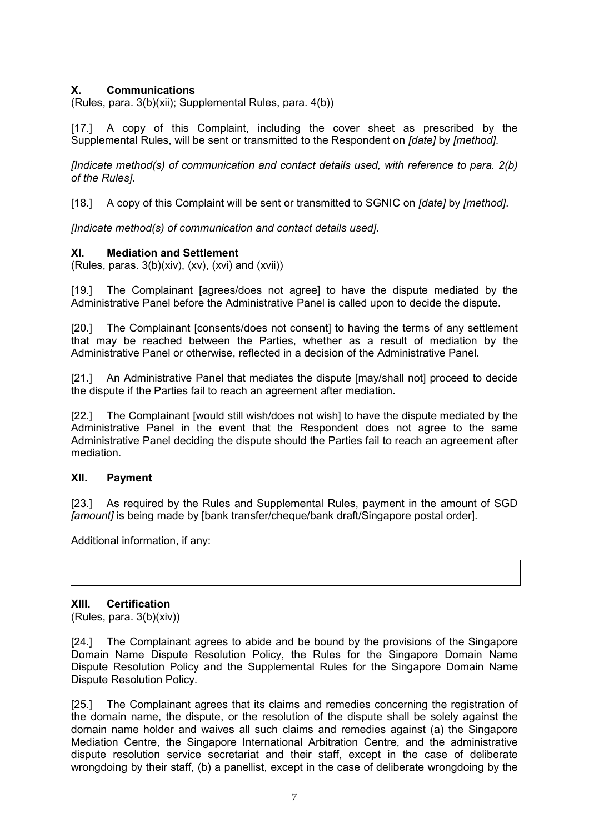# **X. Communications**

(Rules, para. 3(b)(xii); Supplemental Rules, para. 4(b))

[17.] A copy of this Complaint, including the cover sheet as prescribed by the Supplemental Rules, will be sent or transmitted to the Respondent on *[date]* by *[method]*.

*[Indicate method(s) of communication and contact details used, with reference to para. 2(b) of the Rules]*.

[18.] A copy of this Complaint will be sent or transmitted to SGNIC on *[date]* by *[method]*.

*[Indicate method(s) of communication and contact details used]*.

#### **XI. Mediation and Settlement**

 $(Rules, paras. 3(b)(xiv), (xv), (xvi) and (xvii))$ 

[19.] The Complainant [agrees/does not agree] to have the dispute mediated by the Administrative Panel before the Administrative Panel is called upon to decide the dispute.

[20.] The Complainant [consents/does not consent] to having the terms of any settlement that may be reached between the Parties, whether as a result of mediation by the Administrative Panel or otherwise, reflected in a decision of the Administrative Panel.

[21.] An Administrative Panel that mediates the dispute [may/shall not] proceed to decide the dispute if the Parties fail to reach an agreement after mediation.

[22.] The Complainant [would still wish/does not wish] to have the dispute mediated by the Administrative Panel in the event that the Respondent does not agree to the same Administrative Panel deciding the dispute should the Parties fail to reach an agreement after mediation.

#### **XII. Payment**

[23.] As required by the Rules and Supplemental Rules, payment in the amount of SGD *[amount]* is being made by [bank transfer/cheque/bank draft/Singapore postal order].

Additional information, if any:

#### **XIII. Certification**

(Rules, para. 3(b)(xiv))

[24.] The Complainant agrees to abide and be bound by the provisions of the Singapore Domain Name Dispute Resolution Policy, the Rules for the Singapore Domain Name Dispute Resolution Policy and the Supplemental Rules for the Singapore Domain Name Dispute Resolution Policy.

[25.] The Complainant agrees that its claims and remedies concerning the registration of the domain name, the dispute, or the resolution of the dispute shall be solely against the domain name holder and waives all such claims and remedies against (a) the Singapore Mediation Centre, the Singapore International Arbitration Centre, and the administrative dispute resolution service secretariat and their staff, except in the case of deliberate wrongdoing by their staff, (b) a panellist, except in the case of deliberate wrongdoing by the